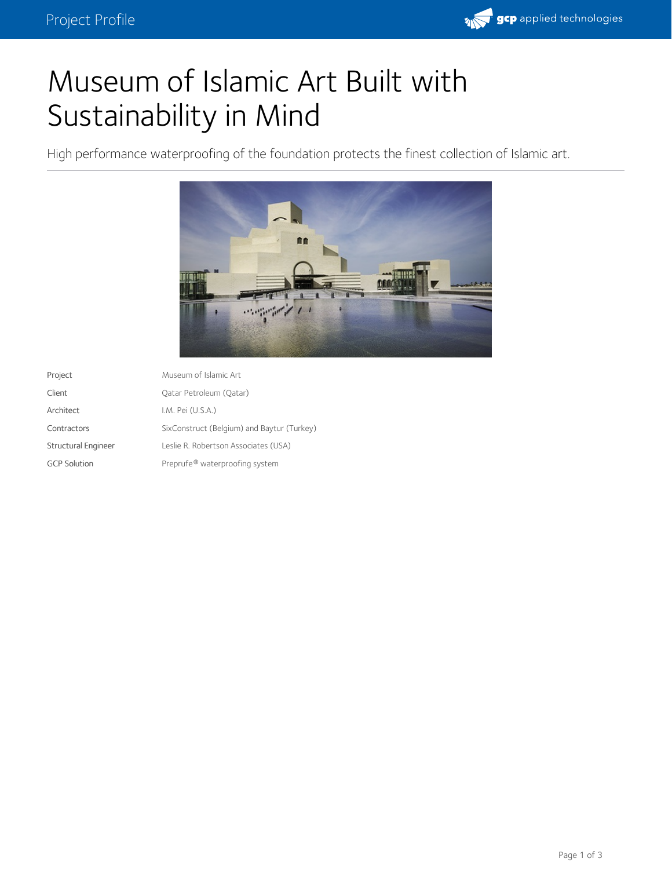

## Museum of Islamic Art Built with Sustainability in Mind

High performance waterproofing of the foundation protects the finest collection of Islamic art.



| Project                    | Museum of Islamic Art                      |
|----------------------------|--------------------------------------------|
| Client                     | Oatar Petroleum (Oatar)                    |
| Architect                  | I.M. Pei (U.S.A.)                          |
| Contractors                | SixConstruct (Belgium) and Baytur (Turkey) |
| <b>Structural Engineer</b> | Leslie R. Robertson Associates (USA)       |
| <b>GCP Solution</b>        | Preprufe® waterproofing system             |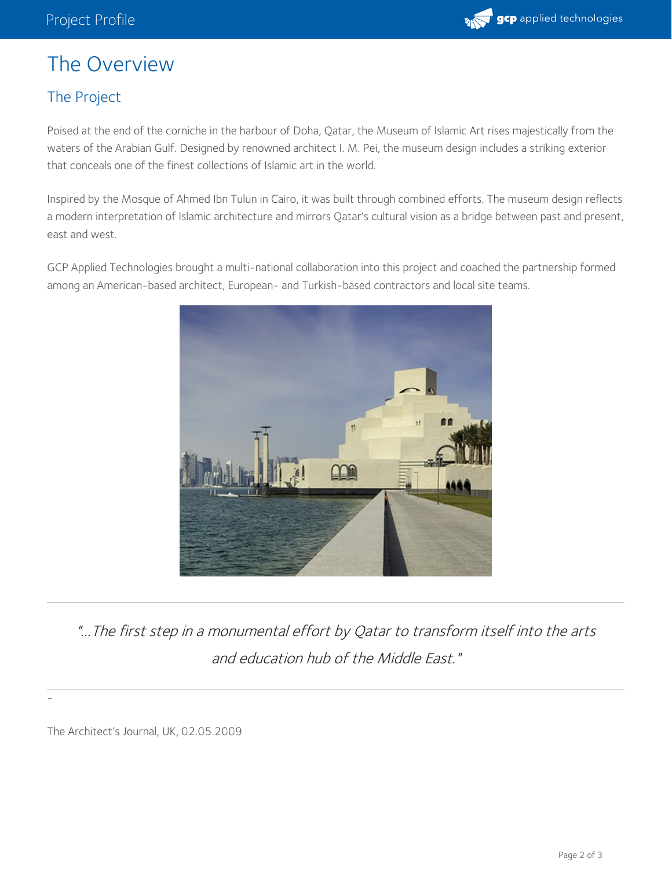

## The Overview

## The Project

Poised at the end of the corniche in the harbour of Doha, Qatar, the Museum of Islamic Art rises majestically from the waters of the Arabian Gulf. Designed by renowned architect I. M. Pei, the museum design includes a striking exterior that conceals one of the finest collections of Islamic art in the world.

Inspired by the Mosque of Ahmed Ibn Tulun in Cairo, it was built through combined efforts. The museum design reflects a modern interpretation of Islamic architecture and mirrors Qatar's cultural vision as a bridge between past and present, east and west.

GCP Applied Technologies brought a multi-national collaboration into this project and coached the partnership formed among an American-based architect, European- and Turkish-based contractors and local site teams.



"...The first step in <sup>a</sup> monumental effort by Qatar to transform itself into the arts and education hub of the Middle East."

The Architect's Journal, UK, 02.05.2009

-